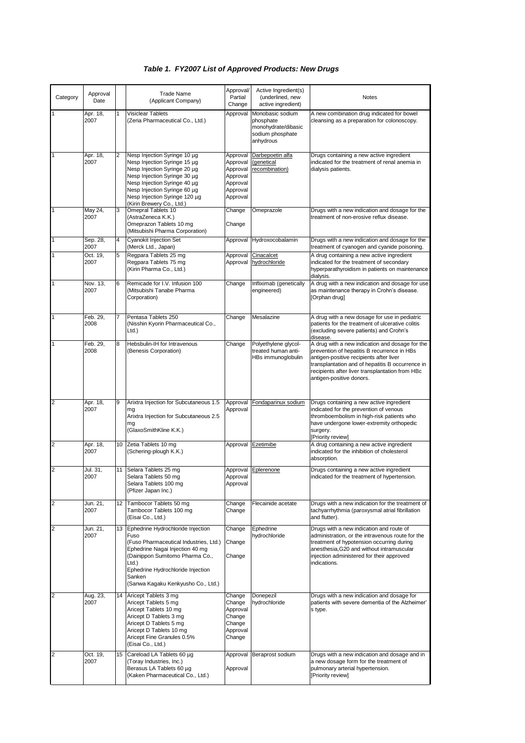## *Table 1. FY2007 List of Approved Products: New Drugs*

| Category       | Approval<br>Date |    | <b>Trade Name</b><br>(Applicant Company)                                                                                                                                                                                                                   | Approval/<br>Partial<br>Change                                                   | Active Ingredient(s)<br>(underlined, new<br>active ingredient)                        | Notes                                                                                                                                                                                                                                                                        |
|----------------|------------------|----|------------------------------------------------------------------------------------------------------------------------------------------------------------------------------------------------------------------------------------------------------------|----------------------------------------------------------------------------------|---------------------------------------------------------------------------------------|------------------------------------------------------------------------------------------------------------------------------------------------------------------------------------------------------------------------------------------------------------------------------|
|                | Apr. 18,<br>2007 |    | Visiclear Tablets<br>(Zeria Pharmaceutical Co., Ltd.)                                                                                                                                                                                                      | Approval                                                                         | Monobasic sodium<br>phosphate<br>monohydrate/dibasic<br>sodium phosphate<br>anhydrous | A new combination drug indicated for bowel<br>cleansing as a preparation for colonoscopy.                                                                                                                                                                                    |
|                | Apr. 18,<br>2007 | 2  | Nesp Injection Syringe 10 µg<br>Nesp Injection Syringe 15 µg<br>Nesp Injection Syringe 20 µg<br>Nesp Injection Syringe 30 µg<br>Nesp Injection Syringe 40 µg<br>Nesp Injection Syringe 60 µg<br>Nesp Injection Syringe 120 µg<br>(Kirin Brewery Co., Ltd.) | Approval<br>Approval<br>Approval<br>Approval<br>Approval<br>Approval<br>Approval | Darbepoetin alfa<br>(genetical<br>recombination)                                      | Drugs containing a new active ingredient<br>indicated for the treatment of renal anemia in<br>dialysis patients.                                                                                                                                                             |
| 1              | May 24,<br>2007  | 3  | Omepral Tablets 10<br>(AstraZeneca K.K.)<br>Omeprazon Tablets 10 mg<br>(Mitsubishi Pharma Corporation)                                                                                                                                                     | Change<br>Change                                                                 | Omeprazole                                                                            | Drugs with a new indication and dosage for the<br>treatment of non-erosive reflux disease.                                                                                                                                                                                   |
|                | Sep. 28,<br>2007 | 4  | <b>Cyanokit Injection Set</b><br>(Merck Ltd., Japan)                                                                                                                                                                                                       | Approval                                                                         | Hydroxocobalamin                                                                      | Drugs with a new indication and dosage for the<br>treatment of cyanogen and cyanide poisoning.                                                                                                                                                                               |
|                | Oct. 19,<br>2007 | 5  | Regpara Tablets 25 mg<br>Regpara Tablets 75 mg<br>(Kirin Pharma Co., Ltd.)                                                                                                                                                                                 | Approval<br>Approval                                                             | Cinacalcet<br>hydrochloride                                                           | A drug containing a new active ingredient<br>indicated for the treatment of secondary<br>hyperparathyroidism in patients on maintenance<br>dialysis.                                                                                                                         |
|                | Nov. 13.<br>2007 | 6  | Remicade for I.V. Infusion 100<br>(Mitsubishi Tanabe Pharma<br>Corporation)                                                                                                                                                                                | Change                                                                           | Infliximab (genetically<br>engineered)                                                | A drug with a new indication and dosage for use<br>as maintenance therapy in Crohn's disease.<br>[Orphan drug]                                                                                                                                                               |
| 1              | Feb. 29,<br>2008 |    | Pentasa Tablets 250<br>(Nisshin Kyorin Pharmaceutical Co.,<br>$Ltd.$ )                                                                                                                                                                                     | Change                                                                           | Mesalazine                                                                            | A drug with a new dosage for use in pediatric<br>patients for the treatment of ulcerative colitis<br>(excluding severe patients) and Crohn's<br>disease.                                                                                                                     |
|                | Feb. 29,<br>2008 | 8  | Hebsbulin-IH for Intravenous<br>(Benesis Corporation)                                                                                                                                                                                                      | Change                                                                           | Polyethylene glycol-<br>treated human anti-<br>HBs immunoglobulin                     | A drug with a new indication and dosage for the<br>prevention of hepatitis B recurrence in HBs<br>antigen-positive recipients after liver<br>transplantation and of hepatitis B occurrence in<br>recipients after liver transplantation from HBc<br>antigen-positive donors. |
| $\overline{2}$ | Apr. 18,<br>2007 | 9  | Arixtra Injection for Subcutaneous 1.5<br>mq<br>Arixtra Injection for Subcutaneous 2.5<br>mq<br>(GlaxoSmithKline K.K.)                                                                                                                                     | Approval<br>Approval                                                             | Fondaparinux sodium                                                                   | Drugs containing a new active ingredient<br>indicated for the prevention of venous<br>thromboembolism in high-risk patients who<br>have undergone lower-extremity orthopedic<br>surgery.<br>[Priority review]                                                                |
| $\overline{2}$ | Apr. 18,<br>2007 | 10 | Zetia Tablets 10 mg<br>(Schering-plough K.K.)                                                                                                                                                                                                              | Approval                                                                         | Ezetimibe                                                                             | A drug containing a new active ingredient<br>indicated for the inhibition of cholesterol<br>absorption.                                                                                                                                                                      |
| 2              | Jul. 31,<br>2007 | 11 | Selara Tablets 25 mg<br>Selara Tablets 50 mg<br>Selara Tablets 100 mg<br>(Pfizer Japan Inc.)                                                                                                                                                               | Approval<br>Approval                                                             | Approval Eplerenone                                                                   | Drugs containing a new active ingredient<br>indicated for the treatment of hypertension.                                                                                                                                                                                     |
| $\overline{2}$ | Jun. 21,<br>2007 | 12 | Tambocor Tablets 50 mg<br>Tambocor Tablets 100 mg<br>(Eisai Co., Ltd.)                                                                                                                                                                                     | Change<br>Change                                                                 | Flecainide acetate                                                                    | Drugs with a new indication for the treatment of<br>tachyarrhythmia (paroxysmal atrial fibrillation<br>and flutter).                                                                                                                                                         |
| $\overline{2}$ | Jun. 21,<br>2007 | 13 | Ephedrine Hydrochloride Injection<br>Fuso<br>(Fuso Pharmaceutical Industries, Ltd.)<br>Ephedrine Nagai Injection 40 mg<br>(Dainippon Sumitomo Pharma Co.,<br>$Ltd.$ )<br>Ephedrine Hydrochloride Injection<br>Sanken<br>(Sanwa Kagaku Kenkyusho Co., Ltd.) | Change<br>Change<br>Change                                                       | Ephedrine<br>hydrochloride                                                            | Drugs with a new indication and route of<br>administration, or the intravenous route for the<br>treatment of hypotension occurring during<br>anesthesia, G20 and without intramuscular<br>injection administered for their approved<br>indications.                          |
| 2              | Aug. 23,<br>2007 | 14 | Aricept Tablets 3 mg<br>Aricept Tablets 5 mg<br>Aricept Tablets 10 mg<br>Aricept D Tablets 3 mg<br>Aricept D Tablets 5 mg<br>Aricept D Tablets 10 mg<br>Aricept Fine Granules 0.5%<br>(Eisai Co., Ltd.)                                                    | Change<br>Change<br>Approval<br>Change<br>Change<br>Approval<br>Change           | Donepezil<br>hydrochloride                                                            | Drugs with a new indication and dosage for<br>patients with severe dementia of the Alzheimer'<br>s type.                                                                                                                                                                     |
| 2              | Oct. 19,<br>2007 |    | 15 Careload LA Tablets 60 µg<br>(Toray Industries, Inc.)<br>Berasus LA Tablets 60 µg<br>(Kaken Pharmaceutical Co., Ltd.)                                                                                                                                   | Approval                                                                         | Approval Beraprost sodium                                                             | Drugs with a new indication and dosage and in<br>a new dosage form for the treatment of<br>pulmonary arterial hypertension.<br>[Priority review]                                                                                                                             |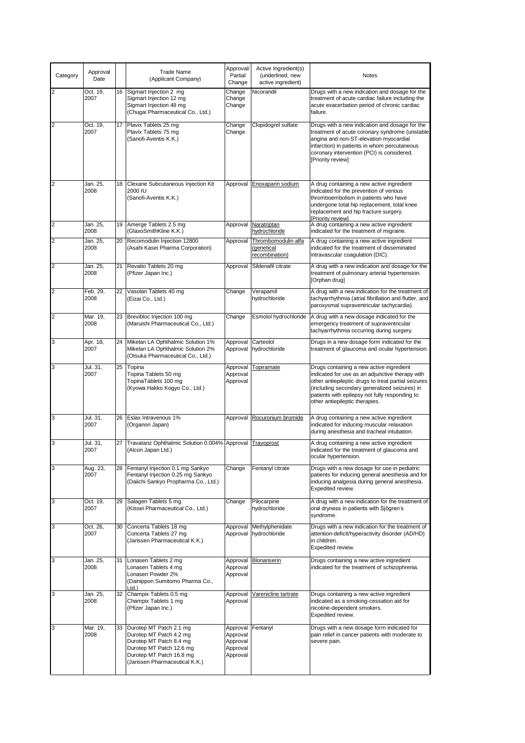| Category       | Approval<br>Date |    | <b>Trade Name</b><br>(Applicant Company)                                                                                                                                  | Approval/<br>Partial<br>Change                           | Active Ingredient(s)<br>(underlined, new<br>active ingredient) | Notes                                                                                                                                                                                                                                                                                   |
|----------------|------------------|----|---------------------------------------------------------------------------------------------------------------------------------------------------------------------------|----------------------------------------------------------|----------------------------------------------------------------|-----------------------------------------------------------------------------------------------------------------------------------------------------------------------------------------------------------------------------------------------------------------------------------------|
| 2              | Oct. 19,<br>2007 |    | 16 Sigmart Injection 2 mg<br>Sigmart Injection 12 mg<br>Sigmart Injection 48 mg<br>(Chugai Pharmaceutical Co., Ltd.)                                                      | Change<br>Change<br>Change                               | Nicorandil                                                     | Drugs with a new indication and dosage for the<br>treatment of acute cardiac failure including the<br>acute exacerbation period of chronic cardiac<br>failure.                                                                                                                          |
| 2              | Oct. 19,<br>2007 |    | 17   Plavix Tablets 25 mg<br>Plavix Tablets 75 mg<br>(Sanofi-Aventis K.K.)                                                                                                | Change<br>Change                                         | Clopidogrel sulfate                                            | Drugs with a new indication and dosage for the<br>treatment of acute coronary syndrome (unstable<br>angina and non-ST-elevation myocardial<br>infarction) in patients in whom percutaneous<br>coronary intervention (PCI) is considered.<br>[Priority review]                           |
| 2              | Jan. 25,<br>2008 |    | 18 Clexane Subcutaneous Injection Kit<br>2000 IU<br>(Sanofi-Aventis K.K.)                                                                                                 |                                                          | Approval Enoxaparin sodium                                     | A drug containing a new active ingredient<br>indicated for the prevention of venous<br>thromboembolism in patients who have<br>undergone total hip replacement, total knee<br>replacement and hip fracture surgery.<br>[Priority review]                                                |
| $\overline{c}$ | Jan. 25,<br>2008 |    | 19   Amerge Tablets 2.5 mg<br>(GlaxoSmithKline K.K.)                                                                                                                      | Approval                                                 | Naratriptan<br>hydrochloride                                   | A drug containing a new active ingredient<br>indicated for the treatment of migraine.                                                                                                                                                                                                   |
| 2              | Jan. 25,<br>2008 | 20 | Recomodulin Injection 12800<br>(Asahi Kasei Pharma Corporation)                                                                                                           | Approval                                                 | Thrombomodulin alfa<br>(genetical<br>recombination)            | A drug containing a new active ingredient<br>indicated for the treatment of disseminated<br>intravascular coagulation (DIC).                                                                                                                                                            |
| 2              | Jan. 25,<br>2008 | 21 | Revatio Tablets 20 mg<br>(Pfizer Japan Inc.)                                                                                                                              | Approval                                                 | Sildenafil citrate                                             | A drug with a new indication and dosage for the<br>treatment of pulmonary arterial hypertension.<br>[Orphan drug]                                                                                                                                                                       |
| $\overline{2}$ | Feb. 29.<br>2008 | 22 | Vasolan Tablets 40 mg<br>(Eizai Co., Ltd.)                                                                                                                                | Change                                                   | Verapamil<br>hydrochloride                                     | A drug with a new indication for the treatment of<br>tachyarrhythmia (atrial fibrillation and flutter, and<br>paroxysmal supraventricular tachycardia).                                                                                                                                 |
| 2              | Mar. 19,<br>2008 |    | 23 Brevibloc Injection 100 mg<br>(Maruishi Pharmaceutical Co., Ltd.)                                                                                                      | Change                                                   | Esmolol hydrochloride                                          | A drug with a new dosage indicated for the<br>emergency treatment of supraventricular<br>tachyarrhythmia occurring during surgery.                                                                                                                                                      |
| 3              | Apr. 18,<br>2007 | 24 | Mikelan LA Ophthalmic Solution 1%<br>Mikelan LA Ophthalmic Solution 2%<br>(Otsuka Pharmaceutical Co., Ltd.)                                                               | Approval                                                 | Carteolol<br>Approval hydrochloride                            | Drugs in a new dosage form indicated for the<br>treatment of glaucoma and ocular hypertension.                                                                                                                                                                                          |
| 3              | Jul. 31,<br>2007 | 25 | Topina<br>Topina Tablets 50 mg<br>TopinaTablets 100 mg<br>(Kyowa Hakko Kogyo Co., Ltd.)                                                                                   | Approval<br>Approval<br>Approval                         | Topiramate                                                     | Drugs containing a new active ingredient<br>indicated for use as an adjunctive therapy with<br>other antiepileptic drugs to treat partial seizures<br>(including secondary generalized seizures) in<br>patients with epilepsy not fully responding to<br>other antiepileptic therapies. |
| 3              | Jul. 31,<br>2007 |    | 26 Eslax Intravenous 1%<br>(Organon Japan)                                                                                                                                |                                                          | Approval Rocuronium bromide                                    | A drug containing a new active ingredient<br>indicated for inducing muscular relaxation<br>during anesthesia and tracheal intubation.                                                                                                                                                   |
| 3              | Jul. 31,<br>2007 | 27 | Travatanz Ophthalmic Solution 0.004% Approval<br>(Alcon Japan Ltd.)                                                                                                       |                                                          | Travoprost                                                     | A drug containing a new active ingredient<br>indicated for the treatment of glaucoma and<br>ocular hypertension.                                                                                                                                                                        |
| 3              | Aug. 23,<br>2007 | 28 | Fentanyl Injection 0.1 mg Sankyo<br>Fentanyl Injection 0.25 mg Sankyo<br>(Daiichi Sankyo Propharma Co., Ltd.)                                                             | Change                                                   | Fentanyl citrate                                               | Drugs with a new dosage for use in pediatric<br>patients for inducing general anesthesia and for<br>inducing analgesia during general anesthesia.<br>Expedited review.                                                                                                                  |
| 3              | Oct. 19,<br>2007 | 29 | Salagen Tablets 5 mg<br>(Kissei Pharmaceutical Co., Ltd.)                                                                                                                 | Change                                                   | Pilocarpine<br>hydrochloride                                   | A drug with a new indication for the treatment of<br>oral dryness in patients with Sjögren's<br>syndrome.                                                                                                                                                                               |
| 3              | Oct. 26,<br>2007 | 30 | Concerta Tablets 18 mg<br>Concerta Tablets 27 mg<br>(Janssen Pharmaceutical K.K.)                                                                                         | Approval<br>Approval                                     | Methylphenidate<br>hydrochloride                               | Drugs with a new indication for the treatment of<br>attention-deficit/hyperactivity disorder (AD/HD)<br>in children.<br>Expedited review.                                                                                                                                               |
| 3              | Jan. 25,<br>2008 | 31 | Lonasen Tablets 2 mg<br>Lonasen Tablets 4 mg<br>Lonasen Powder 2%<br>(Dainippon Sumitomo Pharma Co.,<br>Ltd.)                                                             | Approval<br>Approval<br>Approval                         | Blonanserin                                                    | Drugs containing a new active ingredient<br>indicated for the treatment of schizophrenia.                                                                                                                                                                                               |
| 3              | Jan. 25,<br>2008 |    | 32 Champix Tablets 0.5 mg<br>Champix Tablets 1 mg<br>(Pfizer Japan Inc.)                                                                                                  | Approval<br>Approval                                     | Varenicline tartrate                                           | Drugs containing a new active ingredient<br>indicated as a smoking-cessation aid for<br>nicotine-dependent smokers.<br>Expedited review.                                                                                                                                                |
| 3              | Mar. 19,<br>2008 |    | 33 Durotep MT Patch 2.1 mg<br>Durotep MT Patch 4.2 mg<br>Durotep MT Patch 8.4 mg<br>Durotep MT Patch 12.6 mg<br>Durotep MT Patch 16.8 mg<br>(Janssen Pharmaceutical K.K.) | Approval<br>Approval<br>Approval<br>Approval<br>Approval | Fentanyl                                                       | Drugs with a new dosage form indicated for<br>pain relief in cancer patients with moderate to<br>severe pain.                                                                                                                                                                           |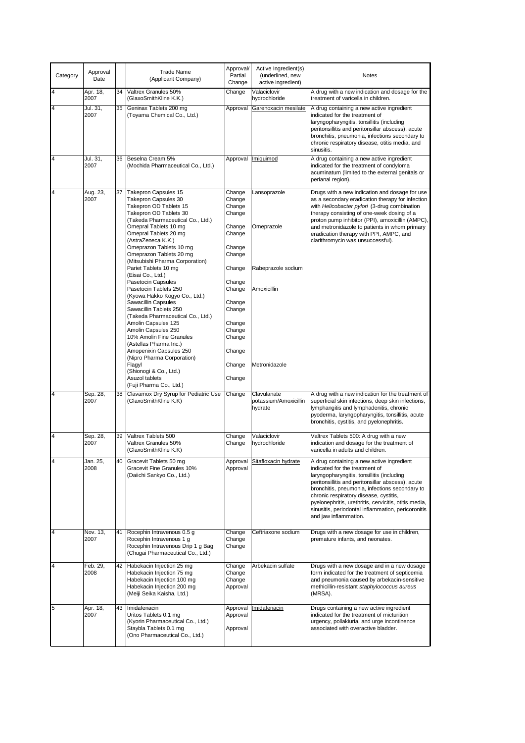| Category | Approval<br>Date |    | <b>Trade Name</b><br>(Applicant Company)                                                                                                                                                                                                        | Approval/<br>Partial<br>Change                                     | Active Ingredient(s)<br>(underlined, new<br>active ingredient) | <b>Notes</b>                                                                                                                                                                                                                                                                                                                                                                                                       |
|----------|------------------|----|-------------------------------------------------------------------------------------------------------------------------------------------------------------------------------------------------------------------------------------------------|--------------------------------------------------------------------|----------------------------------------------------------------|--------------------------------------------------------------------------------------------------------------------------------------------------------------------------------------------------------------------------------------------------------------------------------------------------------------------------------------------------------------------------------------------------------------------|
| 4        | Apr. 18,<br>2007 | 34 | Valtrex Granules 50%<br>(GlaxoSmithKline K.K.)                                                                                                                                                                                                  | Change                                                             | Valaciclovir<br>hydrochloride                                  | A drug with a new indication and dosage for the<br>treatment of varicella in children.                                                                                                                                                                                                                                                                                                                             |
| 4        | Jul. 31,<br>2007 | 35 | Geninax Tablets 200 mg<br>(Toyama Chemical Co., Ltd.)                                                                                                                                                                                           | Approval                                                           | Garenoxacin mesilate                                           | A drug containing a new active ingredient<br>indicated for the treatment of<br>laryngopharyngitis, tonsillitis (including<br>peritonsillitis and peritonsillar abscess), acute<br>bronchitis, pneumonia, infections secondary to<br>chronic respiratory disease, otitis media, and<br>sinusitis.                                                                                                                   |
| 4        | Jul. 31,<br>2007 | 36 | Beselna Cream 5%<br>(Mochida Pharmaceutical Co., Ltd.)                                                                                                                                                                                          | Approval                                                           | Imiquimod                                                      | A drug containing a new active ingredient<br>indicated for the treatment of condyloma<br>acuminatum (limited to the external genitals or<br>perianal region).                                                                                                                                                                                                                                                      |
| 4        | Aug. 23,<br>2007 | 37 | <b>Takepron Capsules 15</b><br>Takepron Capsules 30<br>Takepron OD Tablets 15<br>Takepron OD Tablets 30<br>(Takeda Pharmaceutical Co., Ltd.)<br>Omepral Tablets 10 mg<br>Omepral Tablets 20 mg<br>(AstraZeneca K.K.)<br>Omeprazon Tablets 10 mg | Change<br>Change<br>Change<br>Change<br>Change<br>Change<br>Change | Lansoprazole<br>Omeprazole                                     | Drugs with a new indication and dosage for use<br>as a secondary eradication therapy for infection<br>with Helicobacter pylori (3-drug combination<br>therapy consisting of one-week dosing of a<br>proton pump inhibitor (PPI), amoxicillin (AMPC),<br>and metronidazole to patients in whom primary<br>eradication therapy with PPI, AMPC, and<br>clarithromycin was unsuccessful).                              |
|          |                  |    | Omeprazon Tablets 20 mg<br>(Mitsubishi Pharma Corporation)<br>Pariet Tablets 10 mg<br>(Eisai Co., Ltd.)<br>Pasetocin Capsules                                                                                                                   | Change<br>Change<br>Change                                         | Rabeprazole sodium                                             |                                                                                                                                                                                                                                                                                                                                                                                                                    |
|          |                  |    | Pasetocin Tablets 250<br>(Kyowa Hakko Kogyo Co., Ltd.)<br>Sawacillin Capsules<br>Sawacillin Tablets 250<br>(Takeda Pharmaceutical Co., Ltd.)                                                                                                    | Change<br>Change<br>Change                                         | Amoxicillin                                                    |                                                                                                                                                                                                                                                                                                                                                                                                                    |
|          |                  |    | Amolin Capsules 125<br>Amolin Capsules 250<br>10% Amolin Fine Granules<br>(Astellas Pharma Inc.)<br>Amopenixin Capsules 250<br>(Nipro Pharma Corporation)                                                                                       | Change<br>Change<br>Change<br>Change                               |                                                                |                                                                                                                                                                                                                                                                                                                                                                                                                    |
|          |                  |    | Flagyl<br>(Shionogi & Co., Ltd.)<br>Asuzol tablets<br>(Fuji Pharma Co., Ltd.)                                                                                                                                                                   | Change<br>Change                                                   | Metronidazole                                                  |                                                                                                                                                                                                                                                                                                                                                                                                                    |
| 4        | Sep. 28,<br>2007 | 38 | Clavamox Dry Syrup for Pediatric Use<br>(GlaxoSmithKline K.K)                                                                                                                                                                                   | Change                                                             | Clavulanate<br>potassium/Amoxicillin<br>hydrate                | A drug with a new indication for the treatment of<br>superficial skin infections, deep skin infections,<br>lymphangitis and lymphadenitis, chronic<br>pyoderma, laryngopharyngitis, tonsillitis, acute<br>bronchitis, cystitis, and pyelonephritis.                                                                                                                                                                |
| 4        | Sep. 28,<br>2007 | 39 | Valtrex Tablets 500<br>Valtrex Granules 50%<br>(GlaxoSmithKline K.K)                                                                                                                                                                            | Change<br>Change                                                   | Valaciclovir<br>hydrochloride                                  | Valtrex Tablets 500: A drug with a new<br>indication and dosage for the treatment of<br>varicella in adults and children.                                                                                                                                                                                                                                                                                          |
|          | Jan. 25,<br>2008 |    | 40 Gracevit Tablets 50 mg<br>Gracevit Fine Granules 10%<br>(Daiichi Sankyo Co., Ltd.)                                                                                                                                                           | Approval<br>Approval                                               | Sitafloxacin hydrate                                           | A drug containing a new active ingredient<br>indicated for the treatment of<br>laryngopharyngitis, tonsillitis (including<br>peritonsillitis and peritonsillar abscess), acute<br>bronchitis, pneumonia, infections secondary to<br>chronic respiratory disease, cystitis,<br>pyelonephritis, urethritis, cervicitis, otitis media,<br>sinusitis, periodontal inflammation, pericoronitis<br>and jaw inflammation. |
| 4        | Nov. 13,<br>2007 | 41 | Rocephin Intravenous 0.5 g<br>Rocephin Intravenous 1 g<br>Rocephin Intravenous Drip 1 g Bag<br>(Chugai Pharmaceutical Co., Ltd.)                                                                                                                | Change<br>Change<br>Change                                         | Ceftriaxone sodium                                             | Drugs with a new dosage for use in children,<br>premature infants, and neonates.                                                                                                                                                                                                                                                                                                                                   |
| 4        | Feb. 29,<br>2008 | 42 | Habekacin Injection 25 mg<br>Habekacin Injection 75 mg<br>Habekacin Injection 100 mg<br>Habekacin Injection 200 mg<br>(Meiji Seika Kaisha, Ltd.)                                                                                                | Change<br>Change<br>Change<br>Approval                             | Arbekacin sulfate                                              | Drugs with a new dosage and in a new dosage<br>form indicated for the treatment of septicemia<br>and pneumonia caused by arbekacin-sensitive<br>methicillin-resistant staphylococcus aureus<br>(MRSA).                                                                                                                                                                                                             |
| 5        | Apr. 18,<br>2007 | 43 | Imidafenacin<br>Uritos Tablets 0.1 mg<br>(Kyorin Pharmaceutical Co., Ltd.)<br>Staybla Tablets 0.1 mg<br>(Ono Pharmaceutical Co., Ltd.)                                                                                                          | Approval<br>Approval<br>Approval                                   | <b>Imidafenacin</b>                                            | Drugs containing a new active ingredient<br>indicated for the treatment of micturition<br>urgency, pollakiuria, and urge incontinence<br>associated with overactive bladder.                                                                                                                                                                                                                                       |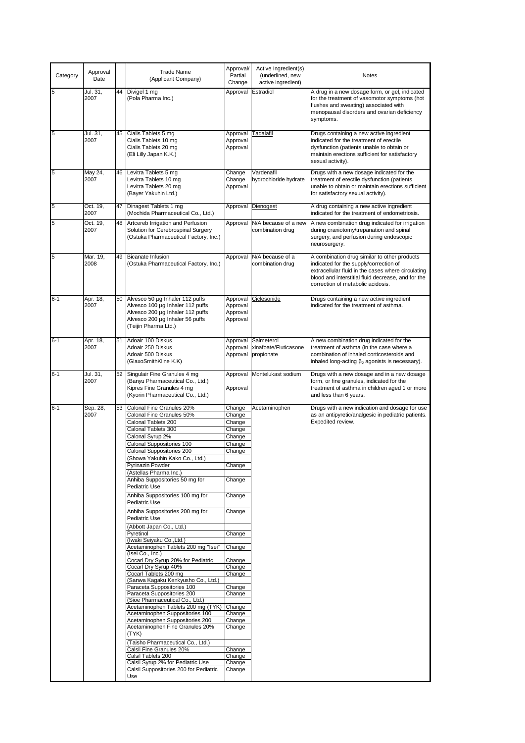| Category | Approval<br>Date |    | <b>Trade Name</b><br>(Applicant Company)                                                                                                                                                                                                                                                                                                                                                                                                                                                                                                                                                                                                                                                                                                                                                                                                                                                                                                                                                                                                                                                                                                      | Approval/<br>Partial<br>Change                                                                                                                                                                                                                                   | Active Ingredient(s)<br>(underlined, new<br>active ingredient) | Notes                                                                                                                                                                                                                                   |
|----------|------------------|----|-----------------------------------------------------------------------------------------------------------------------------------------------------------------------------------------------------------------------------------------------------------------------------------------------------------------------------------------------------------------------------------------------------------------------------------------------------------------------------------------------------------------------------------------------------------------------------------------------------------------------------------------------------------------------------------------------------------------------------------------------------------------------------------------------------------------------------------------------------------------------------------------------------------------------------------------------------------------------------------------------------------------------------------------------------------------------------------------------------------------------------------------------|------------------------------------------------------------------------------------------------------------------------------------------------------------------------------------------------------------------------------------------------------------------|----------------------------------------------------------------|-----------------------------------------------------------------------------------------------------------------------------------------------------------------------------------------------------------------------------------------|
| 5        | Jul. 31,<br>2007 |    | 44 Divigel 1 mg<br>(Pola Pharma Inc.)                                                                                                                                                                                                                                                                                                                                                                                                                                                                                                                                                                                                                                                                                                                                                                                                                                                                                                                                                                                                                                                                                                         | Approval                                                                                                                                                                                                                                                         | Estradiol                                                      | A drug in a new dosage form, or gel, indicated<br>for the treatment of vasomotor symptoms (hot<br>flushes and sweating) associated with<br>menopausal disorders and ovarian deficiency<br>symptoms.                                     |
| 5        | Jul. 31,<br>2007 | 45 | Cialis Tablets 5 mg<br>Cialis Tablets 10 mg<br>Cialis Tablets 20 mg<br>(Eli Lilly Japan K.K.)                                                                                                                                                                                                                                                                                                                                                                                                                                                                                                                                                                                                                                                                                                                                                                                                                                                                                                                                                                                                                                                 | Approval<br>Approval<br>Approval                                                                                                                                                                                                                                 | Tadalafil                                                      | Drugs containing a new active ingredient<br>indicated for the treatment of erectile<br>dysfunction (patients unable to obtain or<br>maintain erections sufficient for satisfactory<br>sexual activity).                                 |
| 5        | May 24,<br>2007  |    | 46 Levitra Tablets 5 mg<br>Levitra Tablets 10 mg<br>Levitra Tablets 20 mg<br>(Bayer Yakuhin Ltd.)                                                                                                                                                                                                                                                                                                                                                                                                                                                                                                                                                                                                                                                                                                                                                                                                                                                                                                                                                                                                                                             | Change<br>Change<br>Approval                                                                                                                                                                                                                                     | Vardenafil<br>hydrochloride hydrate                            | Drugs with a new dosage indicated for the<br>treatment of erectile dysfunction (patients<br>unable to obtain or maintain erections sufficient<br>for satisfactory sexual activity).                                                     |
| 5        | Oct. 19,<br>2007 | 47 | Dinagest Tablets 1 mg<br>(Mochida Pharmaceutical Co., Ltd.)                                                                                                                                                                                                                                                                                                                                                                                                                                                                                                                                                                                                                                                                                                                                                                                                                                                                                                                                                                                                                                                                                   | Approval                                                                                                                                                                                                                                                         | Dienogest                                                      | A drug containing a new active ingredient<br>indicated for the treatment of endometriosis.                                                                                                                                              |
| 5        | Oct. 19,<br>2007 | 48 | Artcereb Irrigation and Perfusion<br>Solution for Cerebrospinal Surgery<br>(Ostuka Pharmaceutical Factory, Inc.)                                                                                                                                                                                                                                                                                                                                                                                                                                                                                                                                                                                                                                                                                                                                                                                                                                                                                                                                                                                                                              | Approval                                                                                                                                                                                                                                                         | N/A because of a new<br>combination drug                       | A new combination drug indicated for irrigation<br>during craniotomy/trepanation and spinal<br>surgery, and perfusion during endoscopic<br>neurosurgery.                                                                                |
| 5        | Mar. 19,<br>2008 | 49 | Bicanate Infusion<br>(Ostuka Pharmaceutical Factory, Inc.)                                                                                                                                                                                                                                                                                                                                                                                                                                                                                                                                                                                                                                                                                                                                                                                                                                                                                                                                                                                                                                                                                    | Approval                                                                                                                                                                                                                                                         | N/A because of a<br>combination drug                           | A combination drug similar to other products<br>indicated for the supply/correction of<br>extracellular fluid in the cases where circulating<br>blood and interstitial fluid decrease, and for the<br>correction of metabolic acidosis. |
| 6-1      | Apr. 18,<br>2007 |    | 50 Alvesco 50 µg Inhaler 112 puffs<br>Alvesco 100 µg Inhaler 112 puffs<br>Alvesco 200 µg Inhaler 112 puffs<br>Alvesco 200 µg Inhaler 56 puffs<br>(Teijin Pharma Ltd.)                                                                                                                                                                                                                                                                                                                                                                                                                                                                                                                                                                                                                                                                                                                                                                                                                                                                                                                                                                         | Approval<br>Approval<br>Approval<br>Approval                                                                                                                                                                                                                     | Ciclesonide                                                    | Drugs containing a new active ingredient<br>indicated for the treatment of asthma.                                                                                                                                                      |
| 6-1      | Apr. 18,<br>2007 | 51 | Adoair 100 Diskus<br>Adoair 250 Diskus<br>Adoair 500 Diskus<br>(GlaxoSmithKline K.K)                                                                                                                                                                                                                                                                                                                                                                                                                                                                                                                                                                                                                                                                                                                                                                                                                                                                                                                                                                                                                                                          | Approval<br>Approval                                                                                                                                                                                                                                             | Salmeterol<br>xinafoate/Fluticasone<br>Approval propionate     | A new combination drug indicated for the<br>treatment of asthma (in the case where a<br>combination of inhaled corticosteroids and<br>inhaled long-acting $\beta_2$ agonists is necessary).                                             |
| $6 - 1$  | Jul. 31,<br>2007 |    | 52 Singulair Fine Granules 4 mg<br>(Banyu Pharmaceutical Co., Ltd.)<br>Kipres Fine Granules 4 mg<br>(Kyorin Pharmaceutical Co., Ltd.)                                                                                                                                                                                                                                                                                                                                                                                                                                                                                                                                                                                                                                                                                                                                                                                                                                                                                                                                                                                                         | Approval<br>Approval                                                                                                                                                                                                                                             | Montelukast sodium                                             | Drugs with a new dosage and in a new dosage<br>form, or fine granules, indicated for the<br>treatment of asthma in children aged 1 or more<br>and less than 6 years.                                                                    |
| $6 - 1$  | Sep. 28,<br>2007 | 53 | Calonal Fine Granules 20%<br>Calonal Fine Granules 50%<br>Calonal Tablets 200<br>Calonal Tablets 300<br>Calonal Syrup 2%<br>Calonal Suppositories 100<br>Calonal Suppositories 200<br>(Showa Yakuhin Kako Co., Ltd.)<br><b>Pyrinazin Powder</b><br>(Astellas Pharma Inc.)<br>Anhiba Suppositories 50 mg for<br>Pediatric Use<br>Anhiba Suppositories 100 mg for<br><b>Pediatric Use</b><br>Anhiba Suppositories 200 mg for<br>Pediatric Use<br>(Abbott Japan Co., Ltd.)<br>Pyretinol<br>(Iwaki Seiyaku Co., Ltd.)<br>Acetaminophen Tablets 200 mg "Isei"<br>(Isei Co., Inc.)<br>Cocarl Dry Syrup 20% for Pediatric<br>Cocarl Dry Syrup 40%<br>Cocarl Tablets 200 mg<br>(Sanwa Kagaku Kenkyusho Co., Ltd.)<br>Paraceta Suppositories 100<br>Paraceta Suppositories 200<br>(Sioe Pharmaceutical Co., Ltd.)<br>Acetaminophen Tablets 200 mg (TYK)<br>Acetaminophen Suppositories 100<br>Acetaminophen Suppositories 200<br>Acetaminophen Fine Granules 20%<br>(TYK)<br>(Taisho Pharmaceutical Co., Ltd.)<br>Calsil Fine Granules 20%<br>Calsil Tablets 200<br>Calsil Syrup 2% for Pediatric Use<br>Calsil Suppositories 200 for Pediatric<br>Use | Change<br>Change<br>Change<br>Change<br>Change<br>Change<br>Change<br>Change<br>Change<br>Change<br>Change<br>Change<br>Change<br>Change<br>Change<br>Change<br>Change<br>Change<br>Change<br>Change<br>Change<br>Change<br>Change<br>Change<br>Change<br>Change | Acetaminophen                                                  | Drugs with a new indication and dosage for use<br>as an antipyretic/analgesic in pediatric patients.<br>Expedited review.                                                                                                               |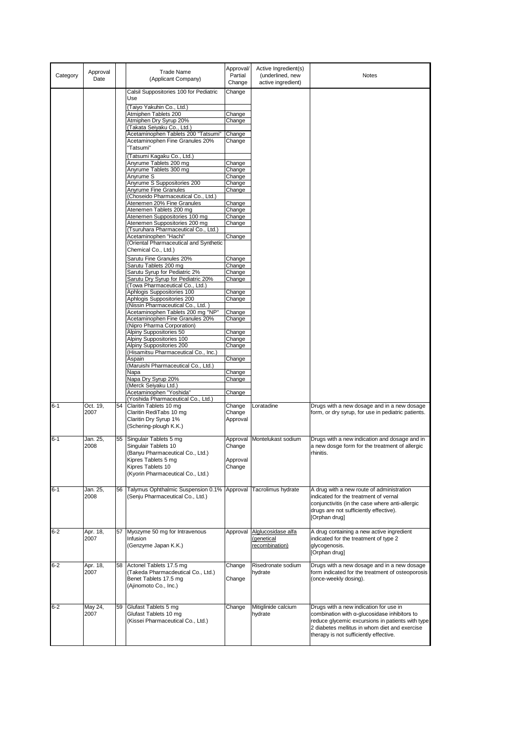| Category | Approval<br>Date |    | <b>Trade Name</b><br>(Applicant Company)                         | Approval/<br>Partial<br>Change | Active Ingredient(s)<br>(underlined, new<br>active ingredient) | Notes                                                                                             |
|----------|------------------|----|------------------------------------------------------------------|--------------------------------|----------------------------------------------------------------|---------------------------------------------------------------------------------------------------|
|          |                  |    | Calsil Suppositories 100 for Pediatric                           | Change                         |                                                                |                                                                                                   |
|          |                  |    | Use                                                              |                                |                                                                |                                                                                                   |
|          |                  |    | (Taiyo Yakuhin Co., Ltd.)                                        |                                |                                                                |                                                                                                   |
|          |                  |    | Atmiphen Tablets 200<br>Atmiphen Dry Syrup 20%                   | Change<br>Change               |                                                                |                                                                                                   |
|          |                  |    | (Takata Seiyaku Co., Ltd.)                                       |                                |                                                                |                                                                                                   |
|          |                  |    | Acetaminophen Tablets 200 "Tatsumi"                              | Change                         |                                                                |                                                                                                   |
|          |                  |    | Acetaminophen Fine Granules 20%                                  | Change                         |                                                                |                                                                                                   |
|          |                  |    | "Tatsumi"                                                        |                                |                                                                |                                                                                                   |
|          |                  |    | (Tatsumi Kagaku Co., Ltd.)<br>Anyrume Tablets 200 mg             | Change                         |                                                                |                                                                                                   |
|          |                  |    | Anyrume Tablets 300 mg                                           | Change                         |                                                                |                                                                                                   |
|          |                  |    | Anyrume S                                                        | Change                         |                                                                |                                                                                                   |
|          |                  |    | Anyrume S Suppositories 200<br>Anyrume Fine Granules             | Change<br>Change               |                                                                |                                                                                                   |
|          |                  |    | (Choseido Pharmaceutical Co., Ltd.)                              |                                |                                                                |                                                                                                   |
|          |                  |    | Atenemen 20% Fine Granules                                       | Change                         |                                                                |                                                                                                   |
|          |                  |    | Atenemen Tablets 200 mg                                          | Change                         |                                                                |                                                                                                   |
|          |                  |    | Atenemen Suppositories 100 mg<br>Atenemen Suppositories 200 mg   | Change<br>Change               |                                                                |                                                                                                   |
|          |                  |    | (Tsuruhara Pharmaceutical Co., Ltd.)                             |                                |                                                                |                                                                                                   |
|          |                  |    | Acetaminophen "Hachi"                                            | Change                         |                                                                |                                                                                                   |
|          |                  |    | (Oriental Pharmaceutical and Synthetic                           |                                |                                                                |                                                                                                   |
|          |                  |    | Chemical Co., Ltd.)                                              |                                |                                                                |                                                                                                   |
|          |                  |    | Sarutu Fine Granules 20%<br>Sarutu Tablets 200 mg                | Change<br>Change               |                                                                |                                                                                                   |
|          |                  |    | Sarutu Syrup for Pediatric 2%                                    | Change                         |                                                                |                                                                                                   |
|          |                  |    | Sarutu Dry Syrup for Pediatric 20%                               | Change                         |                                                                |                                                                                                   |
|          |                  |    | (Towa Pharmaceutical Co., Ltd.)                                  |                                |                                                                |                                                                                                   |
|          |                  |    | Aphlogis Suppositories 100<br>Aphlogis Suppositories 200         | Change<br>Change               |                                                                |                                                                                                   |
|          |                  |    | (Nissin Pharmaceutical Co., Ltd.)                                |                                |                                                                |                                                                                                   |
|          |                  |    | Acetaminophen Tablets 200 mg "NP"                                | Change                         |                                                                |                                                                                                   |
|          |                  |    | Acetaminophen Fine Granules 20%<br>(Nipro Pharma Corporation)    | Change                         |                                                                |                                                                                                   |
|          |                  |    | Alpiny Suppositories 50                                          | Change                         |                                                                |                                                                                                   |
|          |                  |    | Alpiny Suppositories 100                                         | Change                         |                                                                |                                                                                                   |
|          |                  |    | Alpiny Suppositories 200<br>(Hisamitsu Pharmaceutical Co., Inc.) | Change                         |                                                                |                                                                                                   |
|          |                  |    | Aspain                                                           | Change                         |                                                                |                                                                                                   |
|          |                  |    | (Maruishi Pharmaceutical Co., Ltd.)                              |                                |                                                                |                                                                                                   |
|          |                  |    | Napa<br>Napa Dry Syrup 20%                                       | Change<br>Change               |                                                                |                                                                                                   |
|          |                  |    | (Merck Seiyaku Ltd.)                                             |                                |                                                                |                                                                                                   |
|          |                  |    | Acetaminophen "Yoshida"                                          | Change                         |                                                                |                                                                                                   |
| $6 - 1$  | Oct. 19,         | 54 | (Yoshida Pharmaceutical Co., Ltd.)<br>Claritin Tablets 10 mg     | Change                         | Loratadine                                                     | Drugs with a new dosage and in a new dosage                                                       |
|          | 2007             |    | Claritin RediTabs 10 mg                                          | Change                         |                                                                | form, or dry syrup, for use in pediatric patients.                                                |
|          |                  |    | Claritin Dry Syrup 1%                                            | Approval                       |                                                                |                                                                                                   |
|          |                  |    | (Schering-plough K.K.)                                           |                                |                                                                |                                                                                                   |
| 6-1      | Jan. 25,         | 55 | Singulair Tablets 5 mg                                           | Approval                       | Montelukast sodium                                             | Drugs with a new indication and dosage and in                                                     |
|          | 2008             |    | Singulair Tablets 10                                             | Change                         |                                                                | a new dosge form for the treatment of allergic                                                    |
|          |                  |    | (Banyu Pharmaceutical Co., Ltd.)                                 |                                |                                                                | rhinitis.                                                                                         |
|          |                  |    | Kipres Tablets 5 mg<br>Kipres Tablets 10                         | Approval<br>Change             |                                                                |                                                                                                   |
|          |                  |    | (Kyorin Pharmaceutical Co., Ltd.)                                |                                |                                                                |                                                                                                   |
|          |                  |    |                                                                  |                                |                                                                |                                                                                                   |
| $6 - 1$  | Jan. 25,         | 56 | Talymus Ophthalmic Suspension 0.1%                               |                                | Approval Tacrolimus hydrate                                    | A drug with a new route of administration                                                         |
|          | 2008             |    | (Senju Pharmaceutical Co., Ltd.)                                 |                                |                                                                | indicated for the treatment of vernal<br>conjunctivitis (in the case where anti-allergic          |
|          |                  |    |                                                                  |                                |                                                                | drugs are not sufficiently effective).                                                            |
|          |                  |    |                                                                  |                                |                                                                | [Orphan drug]                                                                                     |
|          |                  |    |                                                                  |                                |                                                                |                                                                                                   |
| $6 - 2$  | Apr. 18,<br>2007 | 57 | Myozyme 50 mg for Intravenous<br>Infusion                        | Approval                       | Alglucosidase alfa<br>(genetical                               | A drug containing a new active ingredient<br>indicated for the treatment of type 2                |
|          |                  |    | (Genzyme Japan K.K.)                                             |                                | recombination)                                                 | glycogenosis.                                                                                     |
|          |                  |    |                                                                  |                                |                                                                | [Orphan drug]                                                                                     |
| 6-2      | Apr. 18,         | 58 | Actonel Tablets 17.5 mg                                          | Change                         | Risedronate sodium                                             | Drugs with a new dosage and in a new dosage                                                       |
|          | 2007             |    | (Takeda Pharmacdeutical Co., Ltd.)                               |                                | hydrate                                                        | form indicated for the treatment of osteoporosis                                                  |
|          |                  |    | Benet Tablets 17.5 mg                                            | Change                         |                                                                | (once-weekly dosing).                                                                             |
|          |                  |    | (Ajinomoto Co., Inc.)                                            |                                |                                                                |                                                                                                   |
|          |                  |    |                                                                  |                                |                                                                |                                                                                                   |
| 6-2      | May 24,          | 59 | Glufast Tablets 5 mg                                             | Change                         | Mitiglinide calcium                                            | Drugs with a new indication for use in                                                            |
|          | 2007             |    | Glufast Tablets 10 mg                                            |                                | hydrate                                                        | combination with a-glucosidase inhibitors to                                                      |
|          |                  |    | (Kissei Pharmaceutical Co., Ltd.)                                |                                |                                                                | reduce glycemic excursions in patients with type<br>2 diabetes mellitus in whom diet and exercise |
|          |                  |    |                                                                  |                                |                                                                | therapy is not sufficiently effective.                                                            |
|          |                  |    |                                                                  |                                |                                                                |                                                                                                   |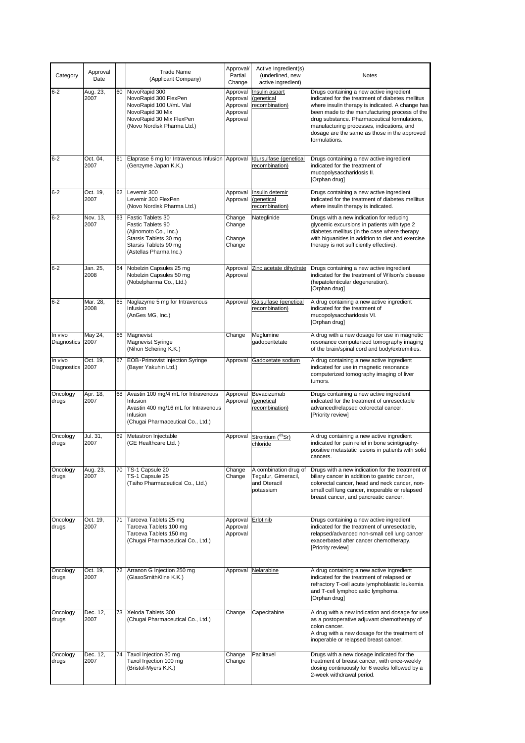| Category               | Approval<br>Date |    | <b>Trade Name</b><br>(Applicant Company)                                                                                                           | Approval/<br>Partial<br>Change                           | Active Ingredient(s)<br>(underlined, new<br>active ingredient)            | Notes                                                                                                                                                                                                                                                                                                                                                           |
|------------------------|------------------|----|----------------------------------------------------------------------------------------------------------------------------------------------------|----------------------------------------------------------|---------------------------------------------------------------------------|-----------------------------------------------------------------------------------------------------------------------------------------------------------------------------------------------------------------------------------------------------------------------------------------------------------------------------------------------------------------|
| 6-2                    | Aug. 23,<br>2007 |    | 60 NovoRapid 300<br>NovoRapid 300 FlexPen<br>NovoRapid 100 U/mL Vial<br>NovoRapid 30 Mix<br>NovoRapid 30 Mix FlexPen<br>(Novo Nordisk Pharma Ltd.) | Approval<br>Approval<br>Approval<br>Approval<br>Approval | Insulin aspart<br>(genetical<br>recombination)                            | Drugs containing a new active ingredient<br>indicated for the treatment of diabetes mellitus<br>where insulin therapy is indicated. A change has<br>been made to the manufacturing process of the<br>drug substance. Pharmaceutical formulations,<br>manufacturing processes, indications, and<br>dosage are the same as those in the approved<br>formulations. |
| $6 - 2$                | Oct. 04,<br>2007 | 61 | Elaprase 6 mg for Intravenous Infusion Approval<br>(Genzyme Japan K.K.)                                                                            |                                                          | Idursulfase (genetical<br>recombination)                                  | Drugs containing a new active ingredient<br>indicated for the treatment of<br>mucopolysaccharidosis II.<br>[Orphan drug]                                                                                                                                                                                                                                        |
| 6-2                    | Oct. 19,<br>2007 |    | 62 Levemir 300<br>Levemir 300 FlexPen<br>(Novo Nordisk Pharma Ltd.)                                                                                | Approval<br>Approval                                     | Insulin detemir<br>(genetical<br>recombination)                           | Drugs containing a new active ingredient<br>indicated for the treatment of diabetes mellitus<br>where insulin therapy is indicated.                                                                                                                                                                                                                             |
| $6 - 2$                | Nov. 13,<br>2007 |    | 63 Fastic Tablets 30<br>Fastic Tablets 90<br>(Ajinomoto Co., Inc.)<br>Starsis Tablets 30 mg<br>Starsis Tablets 90 mg<br>(Astellas Pharma Inc.)     | Change<br>Change<br>Change<br>Change                     | Nateglinide                                                               | Drugs with a new indication for reducing<br>glycemic excursions in patients with type 2<br>diabetes mellitus (in the case where therapy<br>with biguanides in addition to diet and exercise<br>therapy is not sufficiently effective).                                                                                                                          |
| 6-2                    | Jan. 25,<br>2008 |    | 64 Nobelzin Capsules 25 mg<br>Nobelzin Capsules 50 mg<br>(Nobelpharma Co., Ltd.)                                                                   | Approval<br>Approval                                     | Zinc acetate dihydrate                                                    | Drugs containing a new active ingredient<br>indicated for the treatment of Wilson's disease<br>(hepatolenticular degeneration).<br>[Orphan drug]                                                                                                                                                                                                                |
| $6 - 2$                | Mar. 28,<br>2008 | 65 | Naglazyme 5 mg for Intravenous<br>Infusion<br>(AnGes MG, Inc.)                                                                                     | Approval                                                 | Galsulfase (genetical<br>recombination)                                   | A drug containing a new active ingredient<br>indicated for the treatment of<br>mucopolysaccharidosis VI.<br>[Orphan drug]                                                                                                                                                                                                                                       |
| In vivo<br>Diagnostics | May 24,<br>2007  |    | 66 Magnevist<br><b>Magnevist Syringe</b><br>(Nihon Schering K.K.)                                                                                  | Change                                                   | Meglumine<br>gadopentetate                                                | A drug with a new dosage for use in magnetic<br>resonance computerized tomography imaging<br>of the brain/spinal cord and body/extremities.                                                                                                                                                                                                                     |
| In vivo<br>Diagnostics | Oct. 19,<br>2007 |    | 67   EOB · Primovist Injection Syringe<br>(Bayer Yakuhin Ltd.)                                                                                     | Approval                                                 | Gadoxetate sodium                                                         | A drug containing a new active ingredient<br>indicated for use in magnetic resonance<br>computerized tomography imaging of liver<br>tumors.                                                                                                                                                                                                                     |
| Oncology<br>drugs      | Apr. 18,<br>2007 |    | 68 Avastin 100 mg/4 mL for Intravenous<br>Infusion<br>Avastin 400 mg/16 mL for Intravenous<br>Infusion<br>(Chugai Pharmaceutical Co., Ltd.)        | Approval<br>Approval                                     | Bevacizumab<br>(genetical<br>recombination)                               | Drugs containing a new active ingredient<br>indicated for the treatment of unresectable<br>advanced/relapsed colorectal cancer.<br>[Priority review]                                                                                                                                                                                                            |
| Oncology<br>drugs      | Jul. 31,<br>2007 |    | 69 Metastron Injectable<br>(GE Healthcare Ltd.)                                                                                                    | Approval                                                 | Strontium (89Sr)<br>chloride                                              | A drug containing a new active ingredient<br>indicated for pain relief in bone scintigraphy-<br>positive metastatic lesions in patients with solid<br>cancers.                                                                                                                                                                                                  |
| Oncology<br>drugs      | Aug. 23,<br>2007 |    | 70   TS-1 Capsule 20<br>TS-1 Capsule 25<br>(Taiho Pharmaceutical Co., Ltd.)                                                                        | Change<br>Change                                         | A combination drug of<br>Tegafur, Gimeracil,<br>and Oteracil<br>potassium | Drugs with a new indication for the treatment of<br>biliary cancer in addition to gastric cancer,<br>colorectal cancer, head and neck cancer, non-<br>small cell lung cancer, inoperable or relapsed<br>breast cancer, and pancreatic cancer.                                                                                                                   |
| Oncology<br>drugs      | Oct. 19,<br>2007 | 71 | Tarceva Tablets 25 mg<br>Tarceva Tablets 100 mg<br>Tarceva Tablets 150 mg<br>(Chugai Pharmaceutical Co., Ltd.)                                     | Approval<br>Approval<br>Approval                         | Erlotinib                                                                 | Drugs containing a new active ingredient<br>indicated for the treatment of unresectable,<br>relapsed/advanced non-small cell lung cancer<br>exacerbated after cancer chemotherapy.<br>[Priority review]                                                                                                                                                         |
| Oncology<br>drugs      | Oct. 19.<br>2007 |    | 72 Arranon G Injection 250 mg<br>(GlaxoSmithKline K.K.)                                                                                            |                                                          | Approval Nelarabine                                                       | A drug containing a new active ingredient<br>indicated for the treatment of relapsed or<br>refractory T-cell acute lymphoblastic leukemia<br>and T-cell lymphoblastic lymphoma.<br>[Orphan drug]                                                                                                                                                                |
| Oncology<br>drugs      | Dec. 12,<br>2007 |    | 73 Xeloda Tablets 300<br>(Chugai Pharmaceutical Co., Ltd.)                                                                                         | Change                                                   | Capecitabine                                                              | A drug with a new indication and dosage for use<br>as a postoperative adjuvant chemotherapy of<br>colon cancer.<br>A drug with a new dosage for the treatment of<br>inoperable or relapsed breast cancer.                                                                                                                                                       |
| Oncology<br>drugs      | Dec. 12,<br>2007 |    | 74   Taxol Injection 30 mg<br>Taxol Injection 100 mg<br>(Bristol-Myers K.K.)                                                                       | Change<br>Change                                         | Paclitaxel                                                                | Drugs with a new dosage indicated for the<br>treatment of breast cancer, with once-weekly<br>dosing continuously for 6 weeks followed by a<br>2-week withdrawal period.                                                                                                                                                                                         |